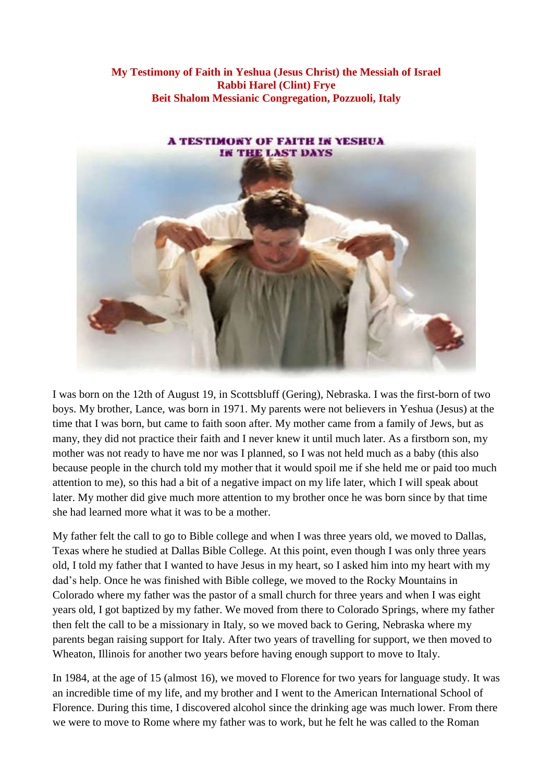**My Testimony of Faith in Yeshua (Jesus Christ) the Messiah of Israel Rabbi Harel (Clint) Frye Beit Shalom Messianic Congregation, Pozzuoli, Italy**



I was born on the 12th of August 19, in Scottsbluff (Gering), Nebraska. I was the first-born of two boys. My brother, Lance, was born in 1971. My parents were not believers in Yeshua (Jesus) at the time that I was born, but came to faith soon after. My mother came from a family of Jews, but as many, they did not practice their faith and I never knew it until much later. As a firstborn son, my mother was not ready to have me nor was I planned, so I was not held much as a baby (this also because people in the church told my mother that it would spoil me if she held me or paid too much attention to me), so this had a bit of a negative impact on my life later, which I will speak about later. My mother did give much more attention to my brother once he was born since by that time she had learned more what it was to be a mother.

My father felt the call to go to Bible college and when I was three years old, we moved to Dallas, Texas where he studied at Dallas Bible College. At this point, even though I was only three years old, I told my father that I wanted to have Jesus in my heart, so I asked him into my heart with my dad's help. Once he was finished with Bible college, we moved to the Rocky Mountains in Colorado where my father was the pastor of a small church for three years and when I was eight years old, I got baptized by my father. We moved from there to Colorado Springs, where my father then felt the call to be a missionary in Italy, so we moved back to Gering, Nebraska where my parents began raising support for Italy. After two years of travelling for support, we then moved to Wheaton, Illinois for another two years before having enough support to move to Italy.

In 1984, at the age of 15 (almost 16), we moved to Florence for two years for language study. It was an incredible time of my life, and my brother and I went to the American International School of Florence. During this time, I discovered alcohol since the drinking age was much lower. From there we were to move to Rome where my father was to work, but he felt he was called to the Roman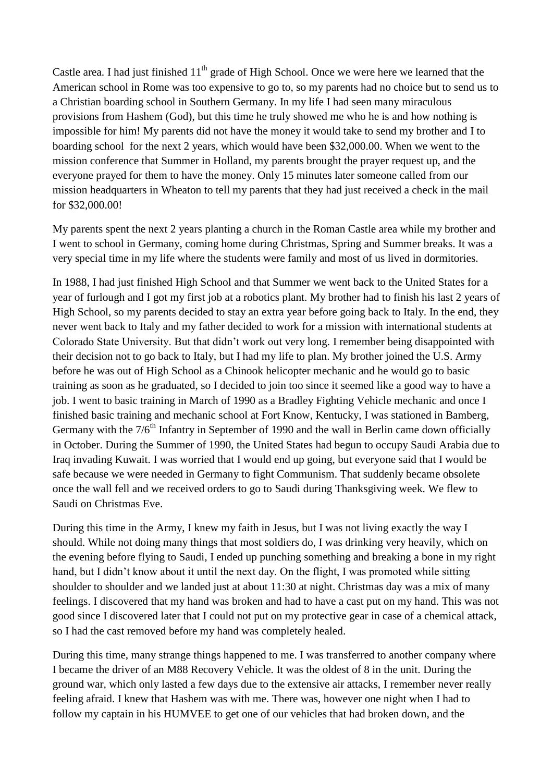Castle area. I had just finished  $11<sup>th</sup>$  grade of High School. Once we were here we learned that the American school in Rome was too expensive to go to, so my parents had no choice but to send us to a Christian boarding school in Southern Germany. In my life I had seen many miraculous provisions from Hashem (God), but this time he truly showed me who he is and how nothing is impossible for him! My parents did not have the money it would take to send my brother and I to boarding school for the next 2 years, which would have been \$32,000.00. When we went to the mission conference that Summer in Holland, my parents brought the prayer request up, and the everyone prayed for them to have the money. Only 15 minutes later someone called from our mission headquarters in Wheaton to tell my parents that they had just received a check in the mail for \$32,000.00!

My parents spent the next 2 years planting a church in the Roman Castle area while my brother and I went to school in Germany, coming home during Christmas, Spring and Summer breaks. It was a very special time in my life where the students were family and most of us lived in dormitories.

In 1988, I had just finished High School and that Summer we went back to the United States for a year of furlough and I got my first job at a robotics plant. My brother had to finish his last 2 years of High School, so my parents decided to stay an extra year before going back to Italy. In the end, they never went back to Italy and my father decided to work for a mission with international students at Colorado State University. But that didn't work out very long. I remember being disappointed with their decision not to go back to Italy, but I had my life to plan. My brother joined the U.S. Army before he was out of High School as a Chinook helicopter mechanic and he would go to basic training as soon as he graduated, so I decided to join too since it seemed like a good way to have a job. I went to basic training in March of 1990 as a Bradley Fighting Vehicle mechanic and once I finished basic training and mechanic school at Fort Know, Kentucky, I was stationed in Bamberg, Germany with the  $7/6<sup>th</sup>$  Infantry in September of 1990 and the wall in Berlin came down officially in October. During the Summer of 1990, the United States had begun to occupy Saudi Arabia due to Iraq invading Kuwait. I was worried that I would end up going, but everyone said that I would be safe because we were needed in Germany to fight Communism. That suddenly became obsolete once the wall fell and we received orders to go to Saudi during Thanksgiving week. We flew to Saudi on Christmas Eve.

During this time in the Army, I knew my faith in Jesus, but I was not living exactly the way I should. While not doing many things that most soldiers do, I was drinking very heavily, which on the evening before flying to Saudi, I ended up punching something and breaking a bone in my right hand, but I didn't know about it until the next day. On the flight, I was promoted while sitting shoulder to shoulder and we landed just at about 11:30 at night. Christmas day was a mix of many feelings. I discovered that my hand was broken and had to have a cast put on my hand. This was not good since I discovered later that I could not put on my protective gear in case of a chemical attack, so I had the cast removed before my hand was completely healed.

During this time, many strange things happened to me. I was transferred to another company where I became the driver of an M88 Recovery Vehicle. It was the oldest of 8 in the unit. During the ground war, which only lasted a few days due to the extensive air attacks, I remember never really feeling afraid. I knew that Hashem was with me. There was, however one night when I had to follow my captain in his HUMVEE to get one of our vehicles that had broken down, and the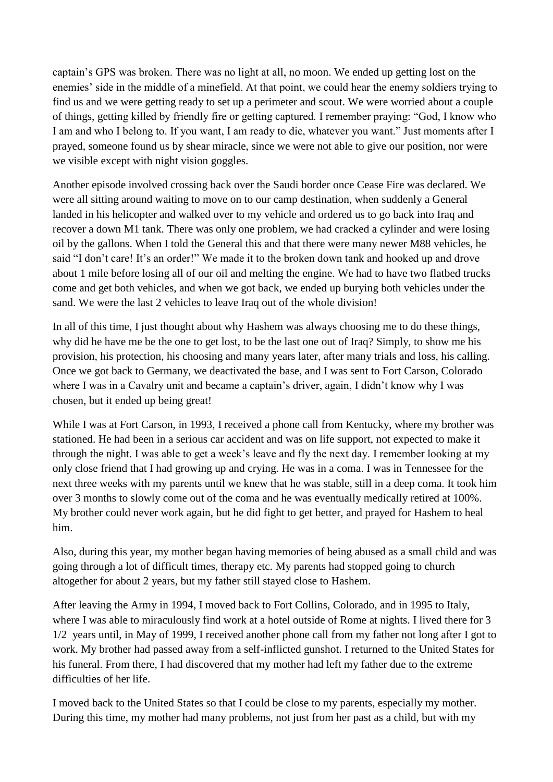captain's GPS was broken. There was no light at all, no moon. We ended up getting lost on the enemies' side in the middle of a minefield. At that point, we could hear the enemy soldiers trying to find us and we were getting ready to set up a perimeter and scout. We were worried about a couple of things, getting killed by friendly fire or getting captured. I remember praying: "God, I know who I am and who I belong to. If you want, I am ready to die, whatever you want." Just moments after I prayed, someone found us by shear miracle, since we were not able to give our position, nor were we visible except with night vision goggles.

Another episode involved crossing back over the Saudi border once Cease Fire was declared. We were all sitting around waiting to move on to our camp destination, when suddenly a General landed in his helicopter and walked over to my vehicle and ordered us to go back into Iraq and recover a down M1 tank. There was only one problem, we had cracked a cylinder and were losing oil by the gallons. When I told the General this and that there were many newer M88 vehicles, he said "I don't care! It's an order!" We made it to the broken down tank and hooked up and drove about 1 mile before losing all of our oil and melting the engine. We had to have two flatbed trucks come and get both vehicles, and when we got back, we ended up burying both vehicles under the sand. We were the last 2 vehicles to leave Iraq out of the whole division!

In all of this time, I just thought about why Hashem was always choosing me to do these things, why did he have me be the one to get lost, to be the last one out of Iraq? Simply, to show me his provision, his protection, his choosing and many years later, after many trials and loss, his calling. Once we got back to Germany, we deactivated the base, and I was sent to Fort Carson, Colorado where I was in a Cavalry unit and became a captain's driver, again, I didn't know why I was chosen, but it ended up being great!

While I was at Fort Carson, in 1993, I received a phone call from Kentucky, where my brother was stationed. He had been in a serious car accident and was on life support, not expected to make it through the night. I was able to get a week's leave and fly the next day. I remember looking at my only close friend that I had growing up and crying. He was in a coma. I was in Tennessee for the next three weeks with my parents until we knew that he was stable, still in a deep coma. It took him over 3 months to slowly come out of the coma and he was eventually medically retired at 100%. My brother could never work again, but he did fight to get better, and prayed for Hashem to heal him.

Also, during this year, my mother began having memories of being abused as a small child and was going through a lot of difficult times, therapy etc. My parents had stopped going to church altogether for about 2 years, but my father still stayed close to Hashem.

After leaving the Army in 1994, I moved back to Fort Collins, Colorado, and in 1995 to Italy, where I was able to miraculously find work at a hotel outside of Rome at nights. I lived there for 3 1/2 years until, in May of 1999, I received another phone call from my father not long after I got to work. My brother had passed away from a self-inflicted gunshot. I returned to the United States for his funeral. From there, I had discovered that my mother had left my father due to the extreme difficulties of her life.

I moved back to the United States so that I could be close to my parents, especially my mother. During this time, my mother had many problems, not just from her past as a child, but with my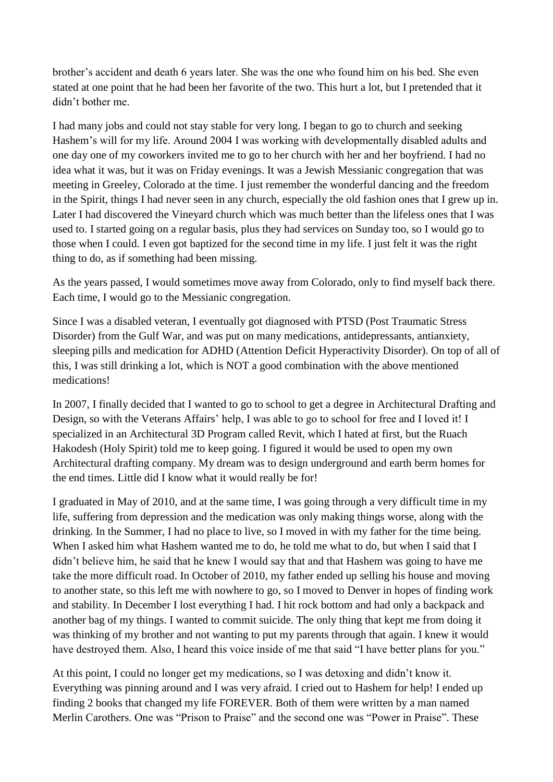brother's accident and death 6 years later. She was the one who found him on his bed. She even stated at one point that he had been her favorite of the two. This hurt a lot, but I pretended that it didn't bother me.

I had many jobs and could not stay stable for very long. I began to go to church and seeking Hashem's will for my life. Around 2004 I was working with developmentally disabled adults and one day one of my coworkers invited me to go to her church with her and her boyfriend. I had no idea what it was, but it was on Friday evenings. It was a Jewish Messianic congregation that was meeting in Greeley, Colorado at the time. I just remember the wonderful dancing and the freedom in the Spirit, things I had never seen in any church, especially the old fashion ones that I grew up in. Later I had discovered the Vineyard church which was much better than the lifeless ones that I was used to. I started going on a regular basis, plus they had services on Sunday too, so I would go to those when I could. I even got baptized for the second time in my life. I just felt it was the right thing to do, as if something had been missing.

As the years passed, I would sometimes move away from Colorado, only to find myself back there. Each time, I would go to the Messianic congregation.

Since I was a disabled veteran, I eventually got diagnosed with PTSD (Post Traumatic Stress Disorder) from the Gulf War, and was put on many medications, antidepressants, antianxiety, sleeping pills and medication for ADHD (Attention Deficit Hyperactivity Disorder). On top of all of this, I was still drinking a lot, which is NOT a good combination with the above mentioned medications!

In 2007, I finally decided that I wanted to go to school to get a degree in Architectural Drafting and Design, so with the Veterans Affairs' help, I was able to go to school for free and I loved it! I specialized in an Architectural 3D Program called Revit, which I hated at first, but the Ruach Hakodesh (Holy Spirit) told me to keep going. I figured it would be used to open my own Architectural drafting company. My dream was to design underground and earth berm homes for the end times. Little did I know what it would really be for!

I graduated in May of 2010, and at the same time, I was going through a very difficult time in my life, suffering from depression and the medication was only making things worse, along with the drinking. In the Summer, I had no place to live, so I moved in with my father for the time being. When I asked him what Hashem wanted me to do, he told me what to do, but when I said that I didn't believe him, he said that he knew I would say that and that Hashem was going to have me take the more difficult road. In October of 2010, my father ended up selling his house and moving to another state, so this left me with nowhere to go, so I moved to Denver in hopes of finding work and stability. In December I lost everything I had. I hit rock bottom and had only a backpack and another bag of my things. I wanted to commit suicide. The only thing that kept me from doing it was thinking of my brother and not wanting to put my parents through that again. I knew it would have destroyed them. Also, I heard this voice inside of me that said "I have better plans for you."

At this point, I could no longer get my medications, so I was detoxing and didn't know it. Everything was pinning around and I was very afraid. I cried out to Hashem for help! I ended up finding 2 books that changed my life FOREVER. Both of them were written by a man named Merlin Carothers. One was "Prison to Praise" and the second one was "Power in Praise". These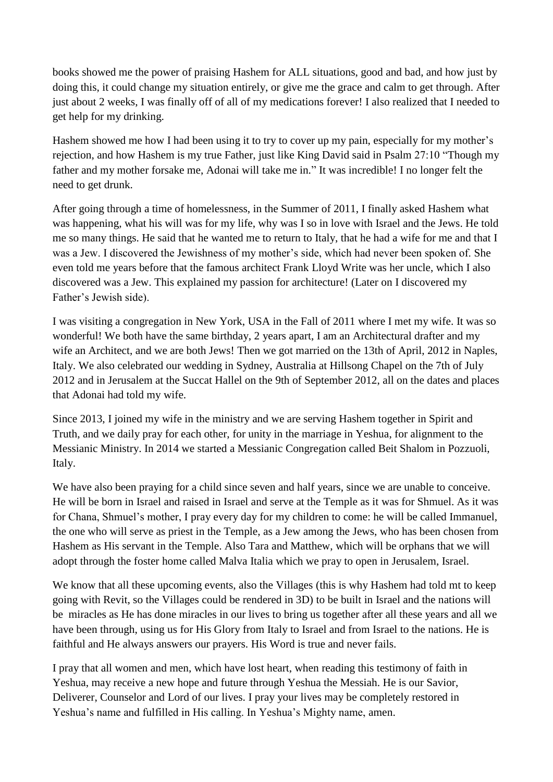books showed me the power of praising Hashem for ALL situations, good and bad, and how just by doing this, it could change my situation entirely, or give me the grace and calm to get through. After just about 2 weeks, I was finally off of all of my medications forever! I also realized that I needed to get help for my drinking.

Hashem showed me how I had been using it to try to cover up my pain, especially for my mother's rejection, and how Hashem is my true Father, just like King David said in Psalm 27:10 "Though my father and my mother forsake me, Adonai will take me in." It was incredible! I no longer felt the need to get drunk.

After going through a time of homelessness, in the Summer of 2011, I finally asked Hashem what was happening, what his will was for my life, why was I so in love with Israel and the Jews. He told me so many things. He said that he wanted me to return to Italy, that he had a wife for me and that I was a Jew. I discovered the Jewishness of my mother's side, which had never been spoken of. She even told me years before that the famous architect Frank Lloyd Write was her uncle, which I also discovered was a Jew. This explained my passion for architecture! (Later on I discovered my Father's Jewish side).

I was visiting a congregation in New York, USA in the Fall of 2011 where I met my wife. It was so wonderful! We both have the same birthday, 2 years apart, I am an Architectural drafter and my wife an Architect, and we are both Jews! Then we got married on the 13th of April, 2012 in Naples, Italy. We also celebrated our wedding in Sydney, Australia at Hillsong Chapel on the 7th of July 2012 and in Jerusalem at the Succat Hallel on the 9th of September 2012, all on the dates and places that Adonai had told my wife.

Since 2013, I joined my wife in the ministry and we are serving Hashem together in Spirit and Truth, and we daily pray for each other, for unity in the marriage in Yeshua, for alignment to the Messianic Ministry. In 2014 we started a Messianic Congregation called Beit Shalom in Pozzuoli, Italy.

We have also been praying for a child since seven and half years, since we are unable to conceive. He will be born in Israel and raised in Israel and serve at the Temple as it was for Shmuel. As it was for Chana, Shmuel's mother, I pray every day for my children to come: he will be called Immanuel, the one who will serve as priest in the Temple, as a Jew among the Jews, who has been chosen from Hashem as His servant in the Temple. Also Tara and Matthew, which will be orphans that we will adopt through the foster home called Malva Italia which we pray to open in Jerusalem, Israel.

We know that all these upcoming events, also the Villages (this is why Hashem had told mt to keep going with Revit, so the Villages could be rendered in 3D) to be built in Israel and the nations will be miracles as He has done miracles in our lives to bring us together after all these years and all we have been through, using us for His Glory from Italy to Israel and from Israel to the nations. He is faithful and He always answers our prayers. His Word is true and never fails.

I pray that all women and men, which have lost heart, when reading this testimony of faith in Yeshua, may receive a new hope and future through Yeshua the Messiah. He is our Savior, Deliverer, Counselor and Lord of our lives. I pray your lives may be completely restored in Yeshua's name and fulfilled in His calling. In Yeshua's Mighty name, amen.